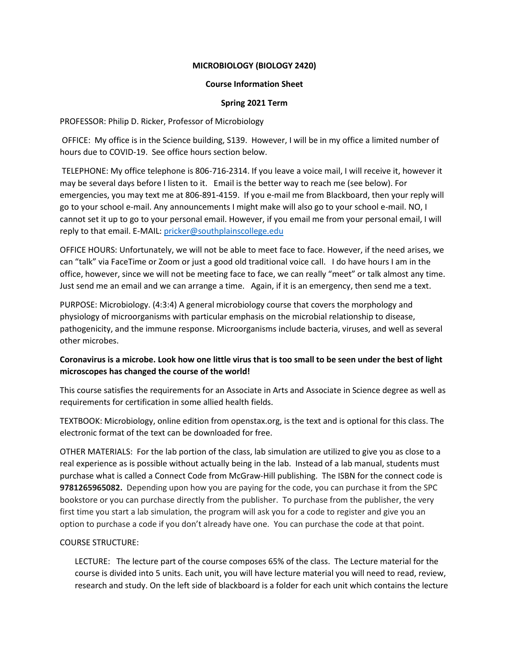## **MICROBIOLOGY (BIOLOGY 2420)**

#### **Course Information Sheet**

## **Spring 2021 Term**

#### PROFESSOR: Philip D. Ricker, Professor of Microbiology

OFFICE: My office is in the Science building, S139. However, I will be in my office a limited number of hours due to COVID-19. See office hours section below.

TELEPHONE: My office telephone is 806-716-2314. If you leave a voice mail, I will receive it, however it may be several days before I listen to it. Email is the better way to reach me (see below). For emergencies, you may text me at 806-891-4159. If you e-mail me from Blackboard, then your reply will go to your school e-mail. Any announcements I might make will also go to your school e-mail. NO, I cannot set it up to go to your personal email. However, if you email me from your personal email, I will reply to that email. E-MAIL: [pricker@southplainscollege.edu](mailto:pricker@southplainscollege.edu)

OFFICE HOURS: Unfortunately, we will not be able to meet face to face. However, if the need arises, we can "talk" via FaceTime or Zoom or just a good old traditional voice call. I do have hours I am in the office, however, since we will not be meeting face to face, we can really "meet" or talk almost any time. Just send me an email and we can arrange a time. Again, if it is an emergency, then send me a text.

PURPOSE: Microbiology. (4:3:4) A general microbiology course that covers the morphology and physiology of microorganisms with particular emphasis on the microbial relationship to disease, pathogenicity, and the immune response. Microorganisms include bacteria, viruses, and well as several other microbes.

# **Coronavirus is a microbe. Look how one little virus that is too small to be seen under the best of light microscopes has changed the course of the world!**

This course satisfies the requirements for an Associate in Arts and Associate in Science degree as well as requirements for certification in some allied health fields.

TEXTBOOK: Microbiology, online edition from openstax.org, is the text and is optional for this class. The electronic format of the text can be downloaded for free.

OTHER MATERIALS: For the lab portion of the class, lab simulation are utilized to give you as close to a real experience as is possible without actually being in the lab. Instead of a lab manual, students must purchase what is called a Connect Code from McGraw-Hill publishing. The ISBN for the connect code is **9781265965082.** Depending upon how you are paying for the code, you can purchase it from the SPC bookstore or you can purchase directly from the publisher. To purchase from the publisher, the very first time you start a lab simulation, the program will ask you for a code to register and give you an option to purchase a code if you don't already have one. You can purchase the code at that point.

## COURSE STRUCTURE:

LECTURE: The lecture part of the course composes 65% of the class. The Lecture material for the course is divided into 5 units. Each unit, you will have lecture material you will need to read, review, research and study. On the left side of blackboard is a folder for each unit which contains the lecture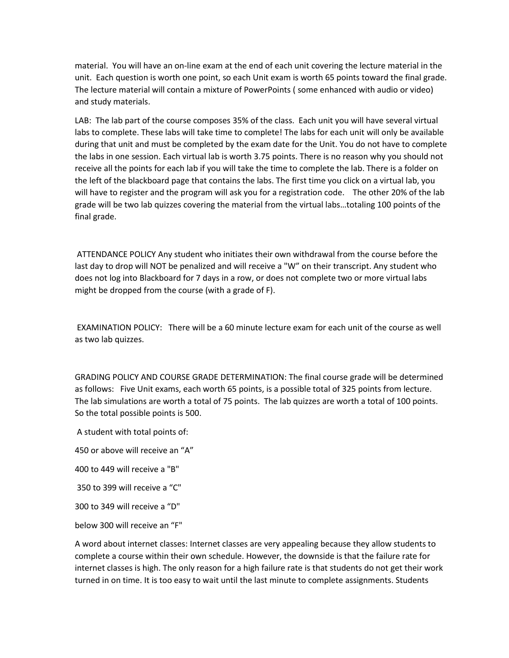material. You will have an on-line exam at the end of each unit covering the lecture material in the unit. Each question is worth one point, so each Unit exam is worth 65 points toward the final grade. The lecture material will contain a mixture of PowerPoints ( some enhanced with audio or video) and study materials.

LAB: The lab part of the course composes 35% of the class. Each unit you will have several virtual labs to complete. These labs will take time to complete! The labs for each unit will only be available during that unit and must be completed by the exam date for the Unit. You do not have to complete the labs in one session. Each virtual lab is worth 3.75 points. There is no reason why you should not receive all the points for each lab if you will take the time to complete the lab. There is a folder on the left of the blackboard page that contains the labs. The first time you click on a virtual lab, you will have to register and the program will ask you for a registration code. The other 20% of the lab grade will be two lab quizzes covering the material from the virtual labs…totaling 100 points of the final grade.

ATTENDANCE POLICY Any student who initiates their own withdrawal from the course before the last day to drop will NOT be penalized and will receive a "W" on their transcript. Any student who does not log into Blackboard for 7 days in a row, or does not complete two or more virtual labs might be dropped from the course (with a grade of F).

EXAMINATION POLICY: There will be a 60 minute lecture exam for each unit of the course as well as two lab quizzes.

GRADING POLICY AND COURSE GRADE DETERMINATION: The final course grade will be determined as follows: Five Unit exams, each worth 65 points, is a possible total of 325 points from lecture. The lab simulations are worth a total of 75 points. The lab quizzes are worth a total of 100 points. So the total possible points is 500.

A student with total points of:

450 or above will receive an "A"

400 to 449 will receive a "B"

350 to 399 will receive a "C"

300 to 349 will receive a "D"

below 300 will receive an "F"

A word about internet classes: Internet classes are very appealing because they allow students to complete a course within their own schedule. However, the downside is that the failure rate for internet classes is high. The only reason for a high failure rate is that students do not get their work turned in on time. It is too easy to wait until the last minute to complete assignments. Students